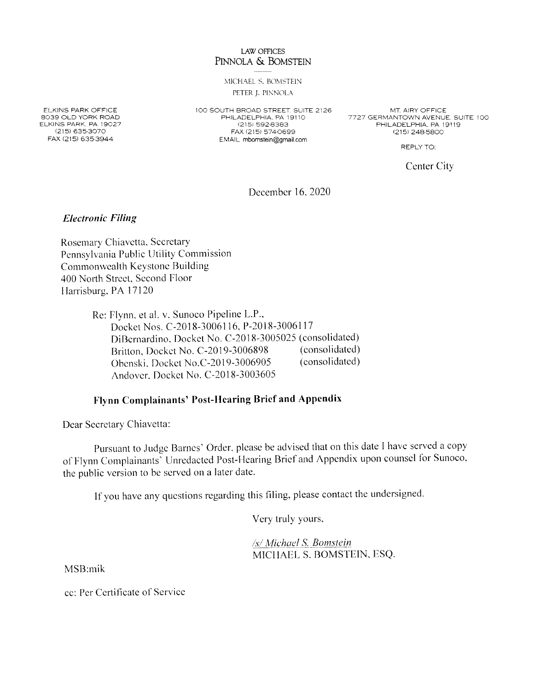### **LAW OFFICES** PINNOLA & BOMSTEIN

MICHAEL S. BOMSTEIN PETER J. PINNOLA

**ELKINS PARK OFFICE** 8039 OLD YORK ROAD ELKINS PARK. PA 19027 (215) 635-3070 FAX (215) 635-3944

100 SOUTH BROAD STREET. SUITE 2126 PHILADELPHIA, PA 19110 (215) 592-8383 FAX (215) 574-0699 EMAIL mbomstein@gmail.com

MT. AIRY OFFICE 7727 GERMANTOWN AVENUE, SUITE 100 PHILADELPHIA, PA 19119 (215) 248-5800

REPLY TO:

Center City

December 16, 2020

**Electronic Filing** 

Rosemary Chiavetta, Secretary Pennsylvania Public Utility Commission Commonwealth Keystone Building 400 North Street, Second Floor Harrisburg, PA 17120

> Re: Flynn, et al. v. Sunoco Pipeline L.P., Docket Nos. C-2018-3006116, P-2018-3006117 DiBernardino, Docket No. C-2018-3005025 (consolidated) (consolidated) Britton, Docket No. C-2019-3006898 (consolidated) Obenski, Docket No.C-2019-3006905 Andover, Docket No. C-2018-3003605

# Flynn Complainants' Post-Hearing Brief and Appendix

Dear Secretary Chiavetta:

Pursuant to Judge Barnes' Order, please be advised that on this date I have served a copy of Flynn Complainants' Unredacted Post-Hearing Brief and Appendix upon counsel for Sunoco, the public version to be served on a later date.

If you have any questions regarding this filing, please contact the undersigned.

Very truly yours,

/s/ Michael S. Bomstein MICHAEL S. BOMSTEIN, ESQ.

MSB:mik

cc: Per Certificate of Service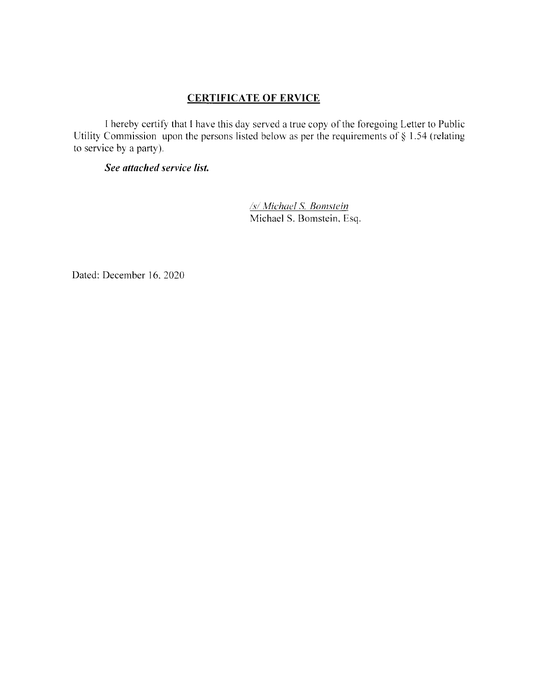# CERTIFICATE OF ERVICE

I hereby certify that I have this day served a true copy of the foregoing Letter to Public Utility Commission upon the persons listed below as per the requirements of § 1.54 (relating to service by a party).

## See attached service list.

/s/ Michael S. Bomstein Michael S. Bomstein. Esq.

Dated: December 16. 2020